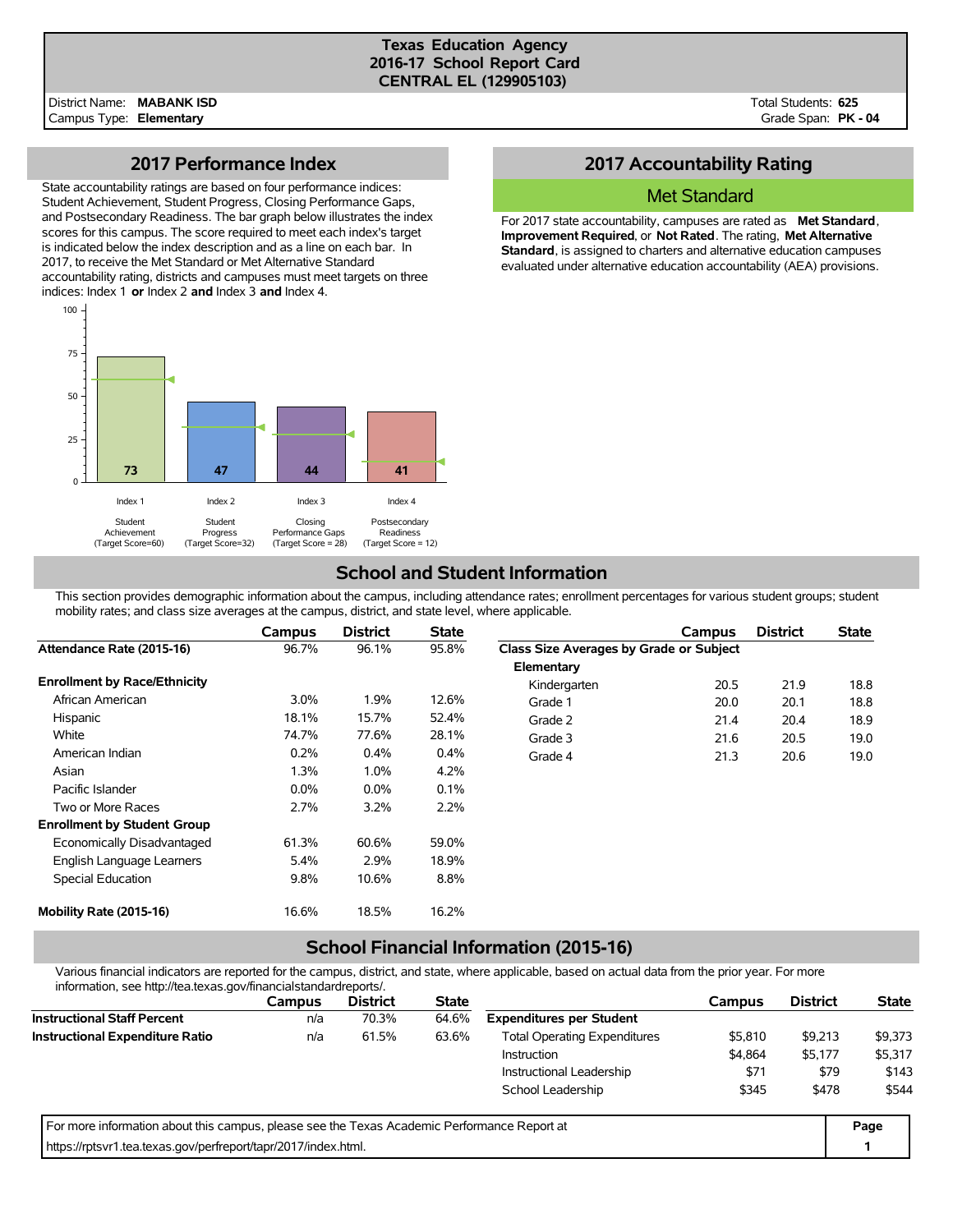#### **Texas Education Agency 2016-17 School Report Card CENTRAL EL (129905103)**

Total Students: **625** Grade Span: **PK - 04**

### **2017 Performance Index**

State accountability ratings are based on four performance indices: Student Achievement, Student Progress, Closing Performance Gaps, and Postsecondary Readiness. The bar graph below illustrates the index scores for this campus. The score required to meet each index's target is indicated below the index description and as a line on each bar. In 2017, to receive the Met Standard or Met Alternative Standard accountability rating, districts and campuses must meet targets on three indices: Index 1 **or** Index 2 **and** Index 3 **and** Index 4.



## **2017 Accountability Rating**

### Met Standard

For 2017 state accountability, campuses are rated as **Met Standard**, **Improvement Required**, or **Not Rated**. The rating, **Met Alternative Standard**, is assigned to charters and alternative education campuses evaluated under alternative education accountability (AEA) provisions.

## **School and Student Information**

This section provides demographic information about the campus, including attendance rates; enrollment percentages for various student groups; student mobility rates; and class size averages at the campus, district, and state level, where applicable.

|                                     | Campus  | <b>District</b> | <b>State</b> |                                         | Campus | <b>District</b> | <b>State</b> |
|-------------------------------------|---------|-----------------|--------------|-----------------------------------------|--------|-----------------|--------------|
| Attendance Rate (2015-16)           | 96.7%   | 96.1%           | 95.8%        | Class Size Averages by Grade or Subject |        |                 |              |
|                                     |         |                 |              | Elementary                              |        |                 |              |
| <b>Enrollment by Race/Ethnicity</b> |         |                 |              | Kindergarten                            | 20.5   | 21.9            | 18.8         |
| African American                    | 3.0%    | 1.9%            | 12.6%        | Grade 1                                 | 20.0   | 20.1            | 18.8         |
| Hispanic                            | 18.1%   | 15.7%           | 52.4%        | Grade 2                                 | 21.4   | 20.4            | 18.9         |
| White                               | 74.7%   | 77.6%           | 28.1%        | Grade 3                                 | 21.6   | 20.5            | 19.0         |
| American Indian                     | 0.2%    | 0.4%            | 0.4%         | Grade 4                                 | 21.3   | 20.6            | 19.0         |
| Asian                               | $1.3\%$ | $1.0\%$         | 4.2%         |                                         |        |                 |              |
| Pacific Islander                    | $0.0\%$ | 0.0%            | 0.1%         |                                         |        |                 |              |
| Two or More Races                   | 2.7%    | 3.2%            | 2.2%         |                                         |        |                 |              |
| <b>Enrollment by Student Group</b>  |         |                 |              |                                         |        |                 |              |
| Economically Disadvantaged          | 61.3%   | 60.6%           | 59.0%        |                                         |        |                 |              |
| English Language Learners           | 5.4%    | 2.9%            | 18.9%        |                                         |        |                 |              |
| Special Education                   | 9.8%    | 10.6%           | 8.8%         |                                         |        |                 |              |
| Mobility Rate (2015-16)             | 16.6%   | 18.5%           | 16.2%        |                                         |        |                 |              |

# **School Financial Information (2015-16)**

Various financial indicators are reported for the campus, district, and state, where applicable, based on actual data from the prior year. For more information, see http://tea.texas.gov/financialstandardreports/.

| illioilliauvil, see liiup.//tea.texas.gov/illialiciaistalidalulepolts/.                     |               |                 |              |                                     |         |                 |              |
|---------------------------------------------------------------------------------------------|---------------|-----------------|--------------|-------------------------------------|---------|-----------------|--------------|
|                                                                                             | <b>Campus</b> | <b>District</b> | <b>State</b> |                                     | Campus  | <b>District</b> | <b>State</b> |
| <b>Instructional Staff Percent</b>                                                          | n/a           | 70.3%           | 64.6%        | <b>Expenditures per Student</b>     |         |                 |              |
| <b>Instructional Expenditure Ratio</b>                                                      | n/a           | 61.5%           | 63.6%        | <b>Total Operating Expenditures</b> | \$5,810 | \$9.213         | \$9,373      |
|                                                                                             |               |                 |              | Instruction                         | \$4.864 | \$5,177         | \$5,317      |
|                                                                                             |               |                 |              | Instructional Leadership            | \$71    | \$79            | \$143        |
|                                                                                             |               |                 |              | School Leadership                   | \$345   | \$478           | \$544        |
| For more information about this campus, please see the Texas Academic Performance Report at |               |                 |              |                                     |         |                 | Page         |
| https://rptsvr1.tea.texas.gov/perfreport/tapr/2017/index.html.                              |               |                 |              |                                     |         |                 |              |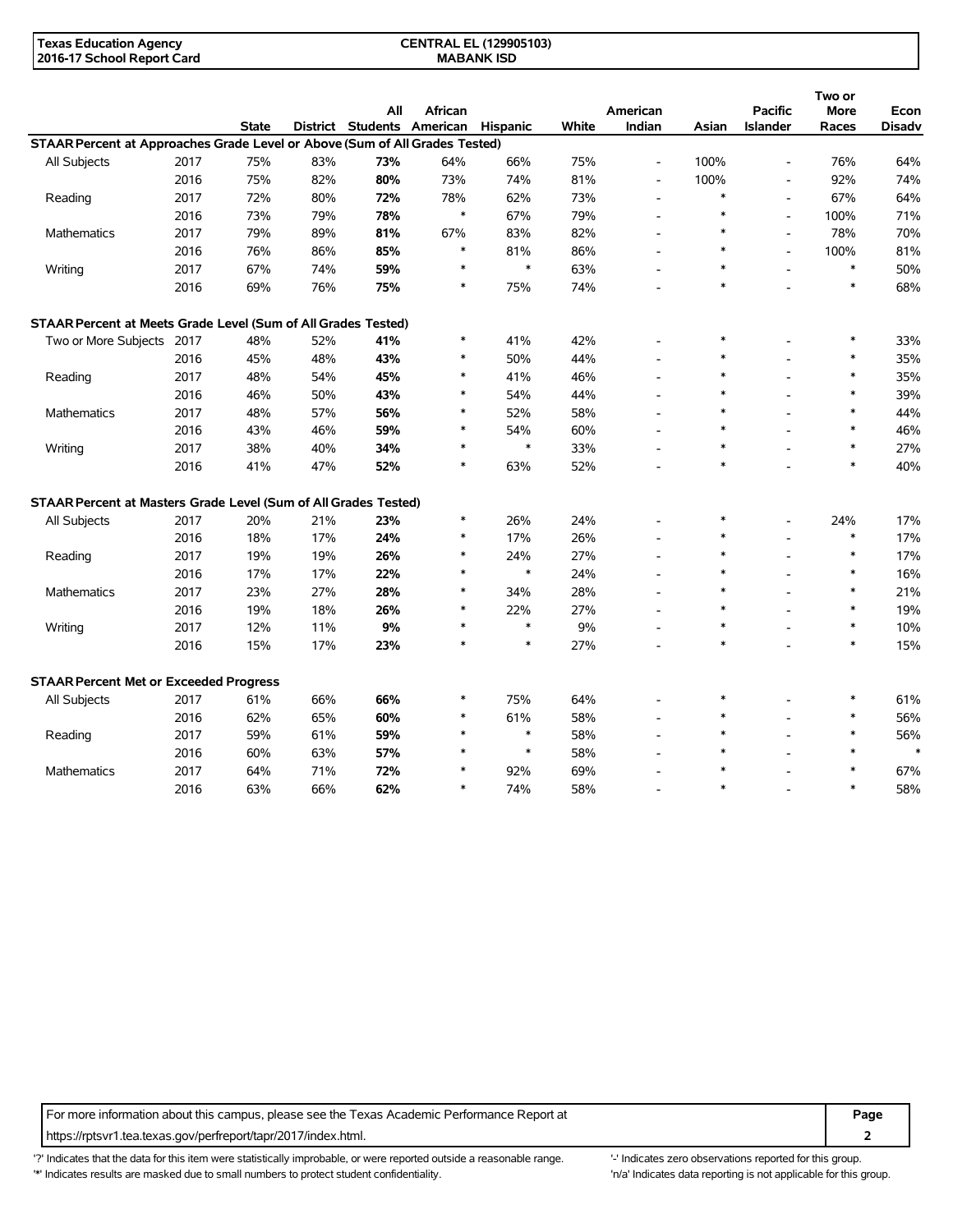| <b>Texas Education Agency</b> | <b>CENTRAL EL (129905103)</b> |  |
|-------------------------------|-------------------------------|--|
| 2016-17 School Report Card    | <b>MABANK ISD</b>             |  |

|                                                                             |      |              |     |                                     |         |        |       |                          |        |                          | Two or      |               |
|-----------------------------------------------------------------------------|------|--------------|-----|-------------------------------------|---------|--------|-------|--------------------------|--------|--------------------------|-------------|---------------|
|                                                                             |      |              |     | All                                 | African |        |       | American                 |        | <b>Pacific</b>           | <b>More</b> | Econ          |
|                                                                             |      | <b>State</b> |     | District Students American Hispanic |         |        | White | Indian                   | Asian  | <b>Islander</b>          | Races       | <b>Disadv</b> |
| STAAR Percent at Approaches Grade Level or Above (Sum of All Grades Tested) |      |              |     |                                     |         |        |       |                          |        |                          |             |               |
| All Subjects                                                                | 2017 | 75%          | 83% | 73%                                 | 64%     | 66%    | 75%   | $\overline{\phantom{a}}$ | 100%   | $\overline{\phantom{a}}$ | 76%         | 64%           |
|                                                                             | 2016 | 75%          | 82% | 80%                                 | 73%     | 74%    | 81%   | $\overline{\phantom{a}}$ | 100%   | $\overline{\phantom{a}}$ | 92%         | 74%           |
| Reading                                                                     | 2017 | 72%          | 80% | 72%                                 | 78%     | 62%    | 73%   | $\overline{\phantom{a}}$ | $\ast$ | $\overline{\phantom{a}}$ | 67%         | 64%           |
|                                                                             | 2016 | 73%          | 79% | 78%                                 | $\ast$  | 67%    | 79%   |                          | $\ast$ | L,                       | 100%        | 71%           |
| Mathematics                                                                 | 2017 | 79%          | 89% | 81%                                 | 67%     | 83%    | 82%   |                          | $\ast$ | $\overline{\phantom{a}}$ | 78%         | 70%           |
|                                                                             | 2016 | 76%          | 86% | 85%                                 | $\ast$  | 81%    | 86%   | $\overline{a}$           | $\ast$ | L,                       | 100%        | 81%           |
| Writing                                                                     | 2017 | 67%          | 74% | 59%                                 | $\ast$  | $\ast$ | 63%   | $\overline{\phantom{a}}$ | $\ast$ | $\overline{a}$           | $\ast$      | 50%           |
|                                                                             | 2016 | 69%          | 76% | 75%                                 | $\ast$  | 75%    | 74%   |                          | $\ast$ |                          | $\ast$      | 68%           |
| STAAR Percent at Meets Grade Level (Sum of All Grades Tested)               |      |              |     |                                     |         |        |       |                          |        |                          |             |               |
| Two or More Subjects                                                        | 2017 | 48%          | 52% | 41%                                 | $\ast$  | 41%    | 42%   |                          | $\ast$ |                          | $\ast$      | 33%           |
|                                                                             | 2016 | 45%          | 48% | 43%                                 | *       | 50%    | 44%   | $\overline{\phantom{a}}$ | *      |                          | $\ast$      | 35%           |
| Reading                                                                     | 2017 | 48%          | 54% | 45%                                 | $\ast$  | 41%    | 46%   |                          | $\ast$ |                          | $\ast$      | 35%           |
|                                                                             | 2016 | 46%          | 50% | 43%                                 | $\ast$  | 54%    | 44%   |                          | $\ast$ |                          | $\ast$      | 39%           |
| <b>Mathematics</b>                                                          | 2017 | 48%          | 57% | 56%                                 | $\ast$  | 52%    | 58%   |                          | $\ast$ |                          | $\ast$      | 44%           |
|                                                                             | 2016 | 43%          | 46% | 59%                                 | *       | 54%    | 60%   |                          | *      |                          | $\ast$      | 46%           |
| Writing                                                                     | 2017 | 38%          | 40% | 34%                                 | $\ast$  | $\ast$ | 33%   | $\overline{\phantom{a}}$ | $\ast$ | L.                       | $\ast$      | 27%           |
|                                                                             | 2016 | 41%          | 47% | 52%                                 | $\ast$  | 63%    | 52%   |                          | $\ast$ |                          | $\ast$      | 40%           |
| STAAR Percent at Masters Grade Level (Sum of All Grades Tested)             |      |              |     |                                     |         |        |       |                          |        |                          |             |               |
| All Subjects                                                                | 2017 | 20%          | 21% | 23%                                 | $\ast$  | 26%    | 24%   |                          | $\ast$ |                          | 24%         | 17%           |
|                                                                             | 2016 | 18%          | 17% | 24%                                 | $\ast$  | 17%    | 26%   | $\overline{a}$           | $\ast$ |                          | $\ast$      | 17%           |
| Reading                                                                     | 2017 | 19%          | 19% | 26%                                 | *       | 24%    | 27%   | $\overline{a}$           | $\ast$ |                          | $\ast$      | 17%           |
|                                                                             | 2016 | 17%          | 17% | 22%                                 | $\ast$  | $\ast$ | 24%   |                          | $\ast$ |                          | $\ast$      | 16%           |
| <b>Mathematics</b>                                                          | 2017 | 23%          | 27% | 28%                                 | $\ast$  | 34%    | 28%   |                          | $\ast$ |                          | $\ast$      | 21%           |
|                                                                             | 2016 | 19%          | 18% | 26%                                 | *       | 22%    | 27%   |                          | *      |                          | $\ast$      | 19%           |
| Writing                                                                     | 2017 | 12%          | 11% | 9%                                  | $\ast$  | $\ast$ | 9%    | $\overline{\phantom{a}}$ | $\ast$ |                          | $\ast$      | 10%           |
|                                                                             | 2016 | 15%          | 17% | 23%                                 | $\ast$  | $\ast$ | 27%   |                          | $\ast$ |                          | $\ast$      | 15%           |
| <b>STAAR Percent Met or Exceeded Progress</b>                               |      |              |     |                                     |         |        |       |                          |        |                          |             |               |
| All Subjects                                                                | 2017 | 61%          | 66% | 66%                                 | $\ast$  | 75%    | 64%   |                          | *      |                          | $\ast$      | 61%           |
|                                                                             | 2016 | 62%          | 65% | 60%                                 | *       | 61%    | 58%   |                          | $\ast$ |                          | $\ast$      | 56%           |
| Reading                                                                     | 2017 | 59%          | 61% | 59%                                 | $\ast$  | $\ast$ | 58%   |                          | $\ast$ |                          | $\ast$      | 56%           |
|                                                                             | 2016 | 60%          | 63% | 57%                                 |         | $\ast$ | 58%   |                          |        |                          |             | $\ast$        |
| <b>Mathematics</b>                                                          | 2017 | 64%          | 71% | 72%                                 |         | 92%    | 69%   |                          |        |                          |             | 67%           |
|                                                                             | 2016 | 63%          | 66% | 62%                                 | $\ast$  | 74%    | 58%   |                          | $\ast$ |                          | $\ast$      | 58%           |

For more information about this campus, please see the Texas Academic Performance Report at **Page Page** https://rptsvr1.tea.texas.gov/perfreport/tapr/2017/index.html. **2**

'?' Indicates that the data for this item were statistically improbable, or were reported outside a reasonable range. '-' Indicates zero observations reported for this group. '\*' Indicates results are masked due to small numbers to protect student confidentiality. Moreover, the context of the strong is not applicable for this group.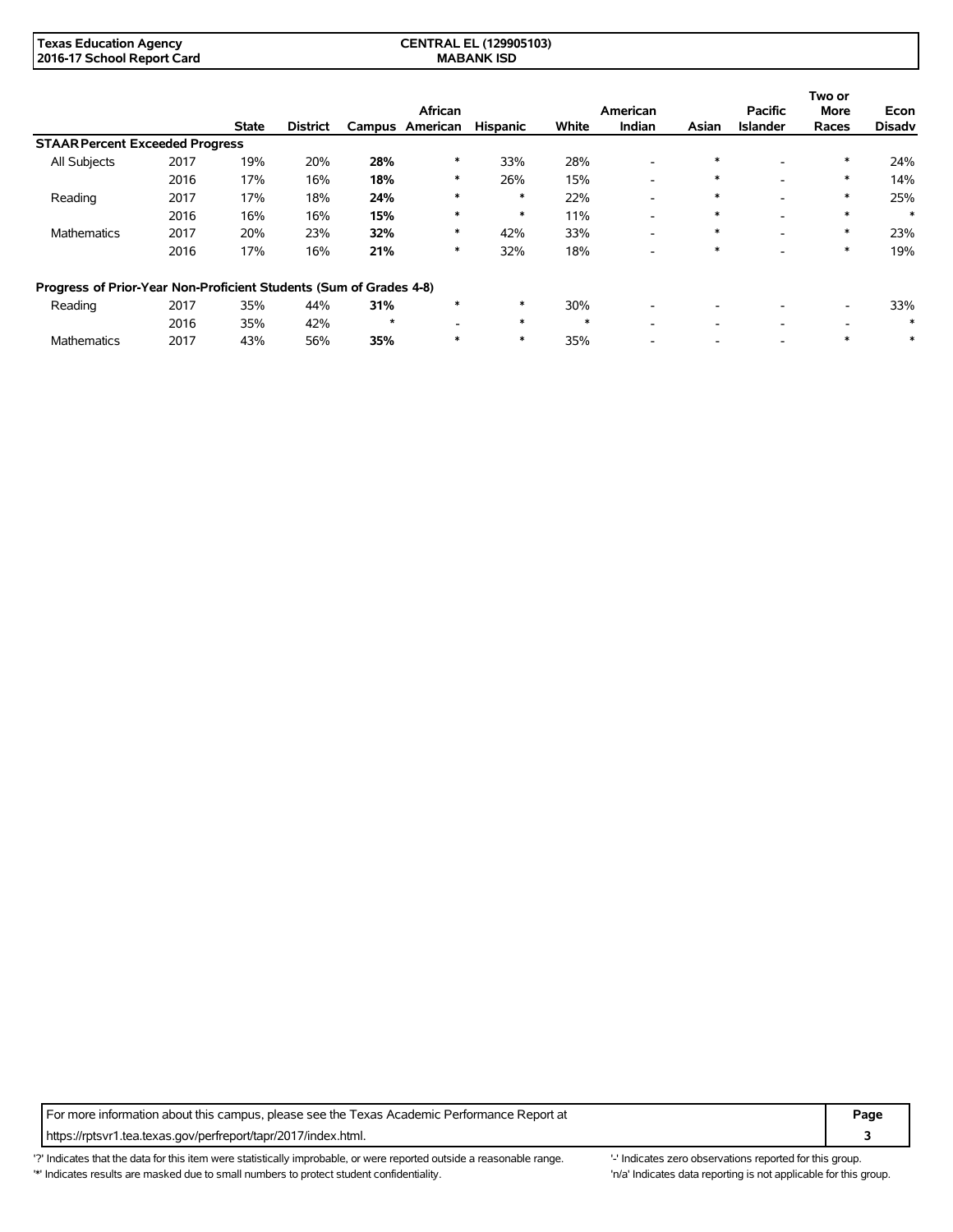| <b>Texas Education Agency</b> | <b>CENTRAL EL (129905103)</b> |  |
|-------------------------------|-------------------------------|--|
| 2016-17 School Report Card    | <b>MABANK ISD</b>             |  |

|                                                                    |      |              |                 |         |          |                 |        |                          |        |                 | Two or                   |               |
|--------------------------------------------------------------------|------|--------------|-----------------|---------|----------|-----------------|--------|--------------------------|--------|-----------------|--------------------------|---------------|
|                                                                    |      |              |                 |         | African  |                 |        | American                 |        | <b>Pacific</b>  | <b>More</b>              | Econ          |
|                                                                    |      | <b>State</b> | <b>District</b> | Campus  | American | <b>Hispanic</b> | White  | Indian                   | Asian  | <b>Islander</b> | Races                    | <b>Disadv</b> |
| <b>STAAR Percent Exceeded Progress</b>                             |      |              |                 |         |          |                 |        |                          |        |                 |                          |               |
| All Subjects                                                       | 2017 | 19%          | 20%             | 28%     | ∗        | 33%             | 28%    | $\overline{\phantom{0}}$ | $\ast$ |                 | $\ast$                   | 24%           |
|                                                                    | 2016 | 17%          | 16%             | 18%     | ∗        | 26%             | 15%    | $\overline{\phantom{0}}$ | $\ast$ | ۰               | *                        | 14%           |
| Reading                                                            | 2017 | 17%          | 18%             | 24%     | $\ast$   | $\ast$          | 22%    | -                        | $\ast$ |                 | $\ast$                   | 25%           |
|                                                                    | 2016 | 16%          | 16%             | 15%     | $\ast$   | $\ast$          | 11%    | $\overline{\phantom{0}}$ | $\ast$ |                 | $\ast$                   | $\ast$        |
| <b>Mathematics</b>                                                 | 2017 | 20%          | 23%             | 32%     | $\ast$   | 42%             | 33%    | $\overline{\phantom{a}}$ | $\ast$ | ۰               | $\ast$                   | 23%           |
|                                                                    | 2016 | 17%          | 16%             | 21%     | ∗        | 32%             | 18%    | $\overline{\phantom{0}}$ | $\ast$ |                 | $\ast$                   | 19%           |
| Progress of Prior-Year Non-Proficient Students (Sum of Grades 4-8) |      |              |                 |         |          |                 |        |                          |        |                 |                          |               |
| Reading                                                            | 2017 | 35%          | 44%             | 31%     |          | $\ast$          | 30%    | $\overline{\phantom{0}}$ |        |                 | $\overline{\phantom{0}}$ | 33%           |
|                                                                    | 2016 | 35%          | 42%             | $\star$ |          | $\ast$          | $\ast$ | -                        |        |                 |                          | ∗             |
| <b>Mathematics</b>                                                 | 2017 | 43%          | 56%             | 35%     |          | $\ast$          | 35%    |                          |        |                 | $\ast$                   | $\ast$        |

For more information about this campus, please see the Texas Academic Performance Report at **Page Page** https://rptsvr1.tea.texas.gov/perfreport/tapr/2017/index.html. **3**

'?' Indicates that the data for this item were statistically improbable, or were reported outside a reasonable range. "Indicates zero observations reported for this group. '\*' Indicates results are masked due to small numbers to protect student confidentiality. 'n/a' Indicates data reporting is not applicable for this group.